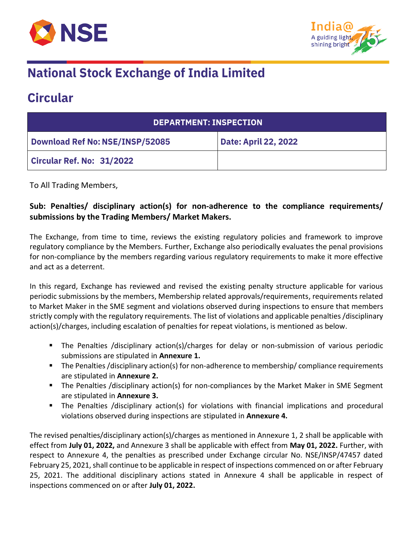



# **National Stock Exchange of India Limited**

## **Circular**

| <b>DEPARTMENT: INSPECTION</b>          |                             |  |
|----------------------------------------|-----------------------------|--|
| <b>Download Ref No: NSE/INSP/52085</b> | <b>Date: April 22, 2022</b> |  |
| <b>Circular Ref. No: 31/2022</b>       |                             |  |

To All Trading Members,

### **Sub: Penalties/ disciplinary action(s) for non-adherence to the compliance requirements/ submissions by the Trading Members/ Market Makers.**

The Exchange, from time to time, reviews the existing regulatory policies and framework to improve regulatory compliance by the Members. Further, Exchange also periodically evaluates the penal provisions for non-compliance by the members regarding various regulatory requirements to make it more effective and act as a deterrent.

In this regard, Exchange has reviewed and revised the existing penalty structure applicable for various periodic submissions by the members, Membership related approvals/requirements, requirements related to Market Maker in the SME segment and violations observed during inspections to ensure that members strictly comply with the regulatory requirements. The list of violations and applicable penalties /disciplinary action(s)/charges, including escalation of penalties for repeat violations, is mentioned as below.

- **■** The Penalties /disciplinary action(s)/charges for delay or non-submission of various periodic submissions are stipulated in **Annexure 1.**
- The Penalties /disciplinary action(s) for non-adherence to membership/ compliance requirements are stipulated in **Annexure 2.**
- The Penalties /disciplinary action(s) for non-compliances by the Market Maker in SME Segment are stipulated in **Annexure 3.**
- **•** The Penalties /disciplinary action(s) for violations with financial implications and procedural violations observed during inspections are stipulated in **Annexure 4.**

The revised penalties/disciplinary action(s)/charges as mentioned in Annexure 1, 2 shall be applicable with effect from **July 01, 2022,** and Annexure 3 shall be applicable with effect from **May 01, 2022.** Further, with respect to Annexure 4, the penalties as prescribed under Exchange circular No. NSE/INSP/47457 dated February 25, 2021, shall continue to be applicable in respect of inspections commenced on or after February 25, 2021. The additional disciplinary actions stated in Annexure 4 shall be applicable in respect of inspections commenced on or after **July 01, 2022.**